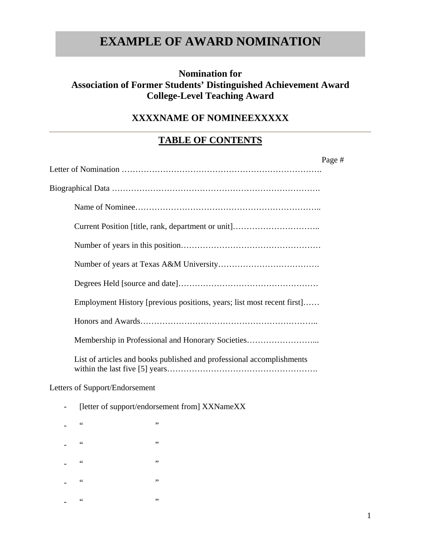# **EXAMPLE OF AWARD NOMINATION**

## **Nomination for Association of Former Students' Distinguished Achievement Award College-Level Teaching Award**

## **XXXXNAME OF NOMINEEXXXXX**

#### **TABLE OF CONTENTS**

| Page #                                                                 |
|------------------------------------------------------------------------|
|                                                                        |
|                                                                        |
|                                                                        |
|                                                                        |
|                                                                        |
|                                                                        |
|                                                                        |
| Employment History [previous positions, years; list most recent first] |
|                                                                        |
| Membership in Professional and Honorary Societies                      |
| List of articles and books published and professional accomplishments  |
| Letters of Support/Endorsement                                         |
| [letter of support/endorsement from] XXNameXX                          |
| $\zeta$ $\zeta$<br>,,                                                  |
| $\zeta$ $\zeta$<br>,,                                                  |
| $\zeta$ $\zeta$<br>,,                                                  |
| $\zeta$ $\zeta$<br>,,                                                  |

 $-$  "  $\frac{1}{2}$ "  $\frac{1}{2}$ "  $\frac{1}{2}$ "  $\frac{1}{2}$ "  $\frac{1}{2}$ "  $\frac{1}{2}$ "  $\frac{1}{2}$ "  $\frac{1}{2}$ "  $\frac{1}{2}$ "  $\frac{1}{2}$ "  $\frac{1}{2}$ "  $\frac{1}{2}$ "  $\frac{1}{2}$ "  $\frac{1}{2}$ "  $\frac{1}{2}$ "  $\frac{1}{2}$ "  $\frac{1}{2}$ "  $\frac{1}{2}$ "  $\frac{1}{2}$ "  $\frac{1}{$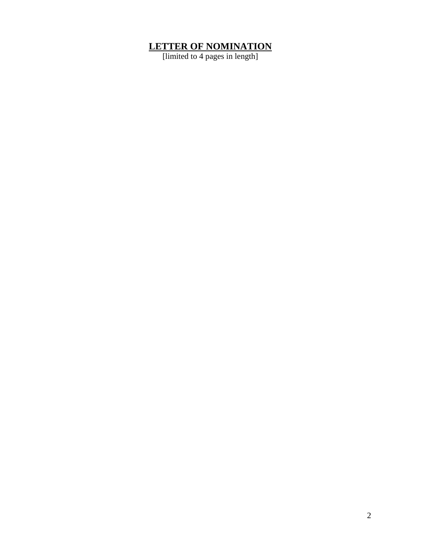#### **LETTER OF NOMINATION**

[limited to 4 pages in length]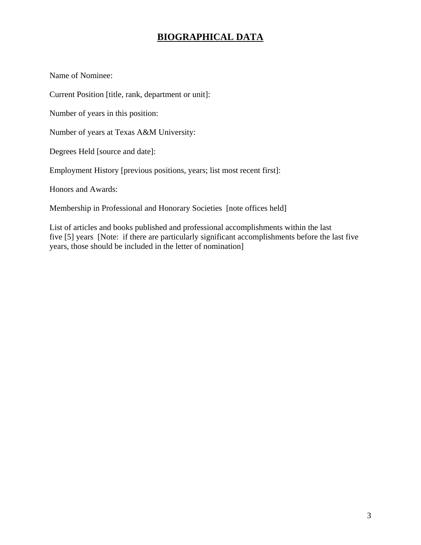# **BIOGRAPHICAL DATA**

Name of Nominee:

Current Position [title, rank, department or unit]:

Number of years in this position:

Number of years at Texas A&M University:

Degrees Held [source and date]:

Employment History [previous positions, years; list most recent first]:

Honors and Awards:

Membership in Professional and Honorary Societies [note offices held]

List of articles and books published and professional accomplishments within the last five [5] years [Note: if there are particularly significant accomplishments before the last five years, those should be included in the letter of nomination]